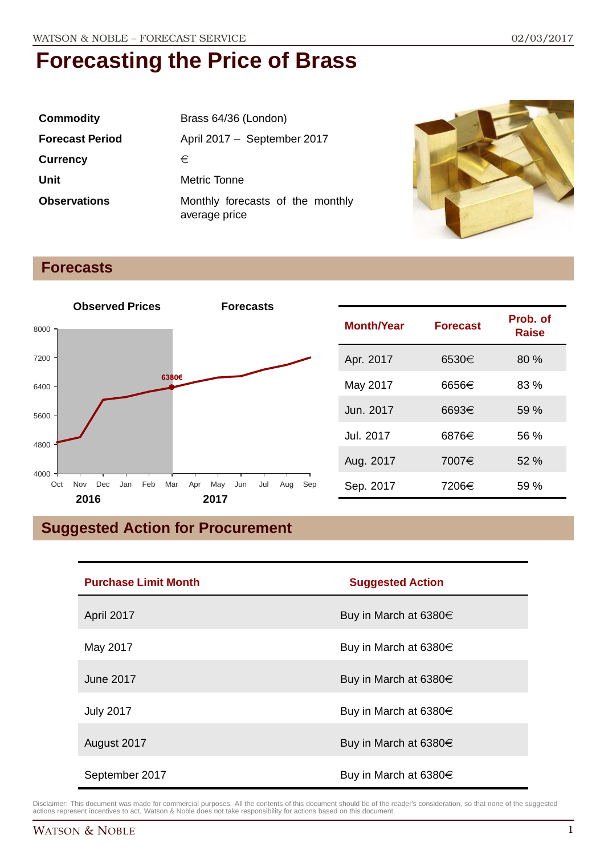| <b>Commodity</b>       | Brass 64/36 (London)                              |  |
|------------------------|---------------------------------------------------|--|
| <b>Forecast Period</b> | April 2017 - September 2017                       |  |
| <b>Currency</b>        | €                                                 |  |
| Unit                   | Metric Tonne                                      |  |
| <b>Observations</b>    | Monthly forecasts of the monthly<br>average price |  |



### **Forecasts**



| <b>Month/Year</b> | <b>Forecast</b> | Prob. of<br>Raise |
|-------------------|-----------------|-------------------|
| Apr. 2017         | 6530€           | 80%               |
| May 2017          | 6656€           | 83 %              |
| Jun. 2017         | 6693€           | 59 %              |
| Jul. 2017         | 6876€           | 56 %              |
| Aug. 2017         | 7007€           | 52%               |
| Sep. 2017         | 7206€           | 59 %              |

## **Suggested Action for Procurement**

| <b>Purchase Limit Month</b> | <b>Suggested Action</b>    |  |
|-----------------------------|----------------------------|--|
| April 2017                  | Buy in March at 6380 $\in$ |  |
| May 2017                    | Buy in March at 6380€      |  |
| <b>June 2017</b>            | Buy in March at 6380 $\in$ |  |
| <b>July 2017</b>            | Buy in March at 6380€      |  |
| August 2017                 | Buy in March at 6380 $\in$ |  |
| September 2017              | Buy in March at 6380€      |  |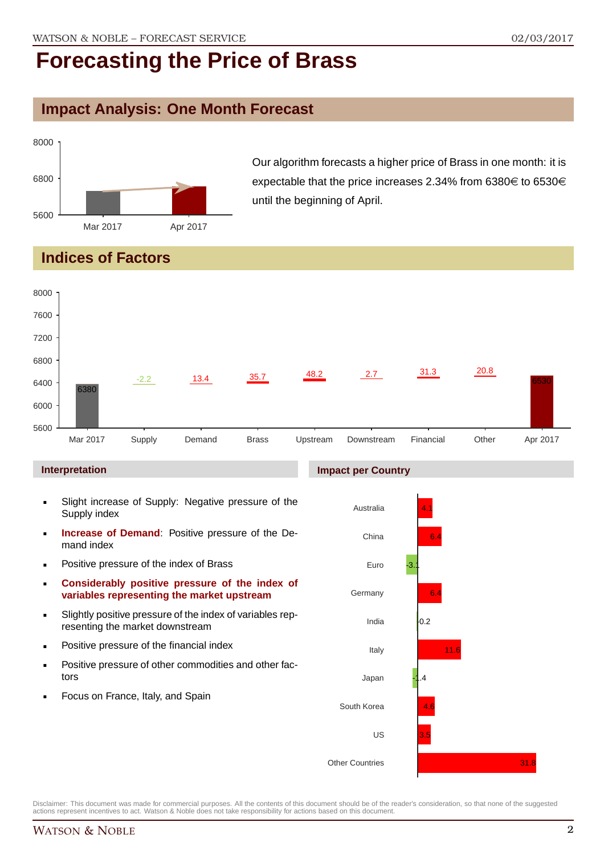### **Impact Analysis: One Month Forecast**



Our algorithm forecasts a higher price of Brass in one month: it is expectable that the price increases 2.34% from 6380 $\in$  to 6530 $\in$ until the beginning of April.

### **Indices of Factors**



#### **Interpretation**

- Slight increase of Supply: Negative pressure of the Supply index
- **Increase of Demand**: Positive pressure of the Demand index
- **Positive pressure of the index of Brass**
- **Considerably positive pressure of the index of variables representing the market upstream**
- Slightly positive pressure of the index of variables representing the market downstream
- **•** Positive pressure of the financial index
- **Positive pressure of other commodities and other fac**tors
- Focus on France, Italy, and Spain

#### **Impact per Country**



Disclaimer: This document was made for commercial purposes. All the contents of this document should be of the reader's consideration, so that none of the suggested actions represent incentives to act. Watson & Noble does not take responsibility for actions based on this document.

 $31.8$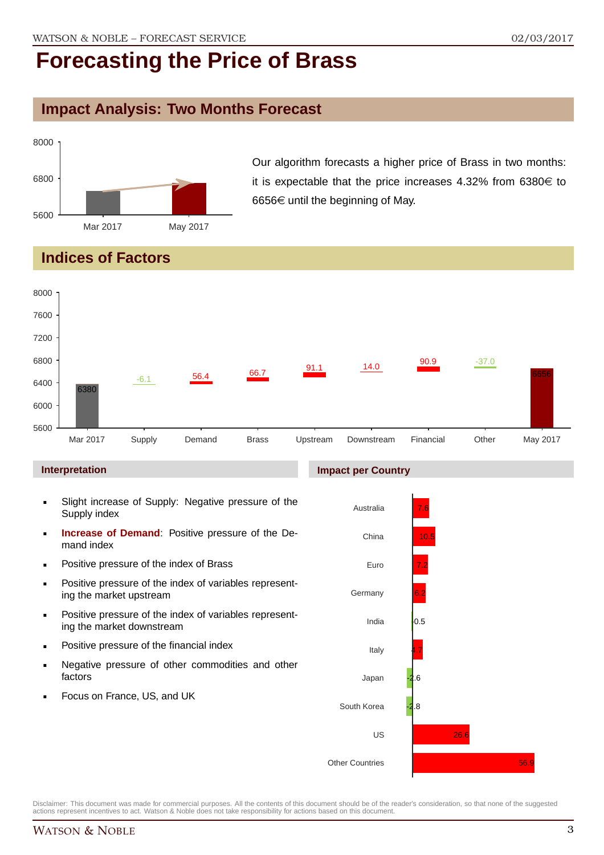### **Impact Analysis: Two Months Forecast**



Our algorithm forecasts a higher price of Brass in two months: it is expectable that the price increases 4.32% from  $6380 \in$  to 6656 $\in$  until the beginning of May.

### **Indices of Factors**



Disclaimer: This document was made for commercial purposes. All the contents of this document should be of the reader's consideration, so that none of the suggested actions represent incentives to act. Watson & Noble does not take responsibility for actions based on this document.

Other Countries

56.9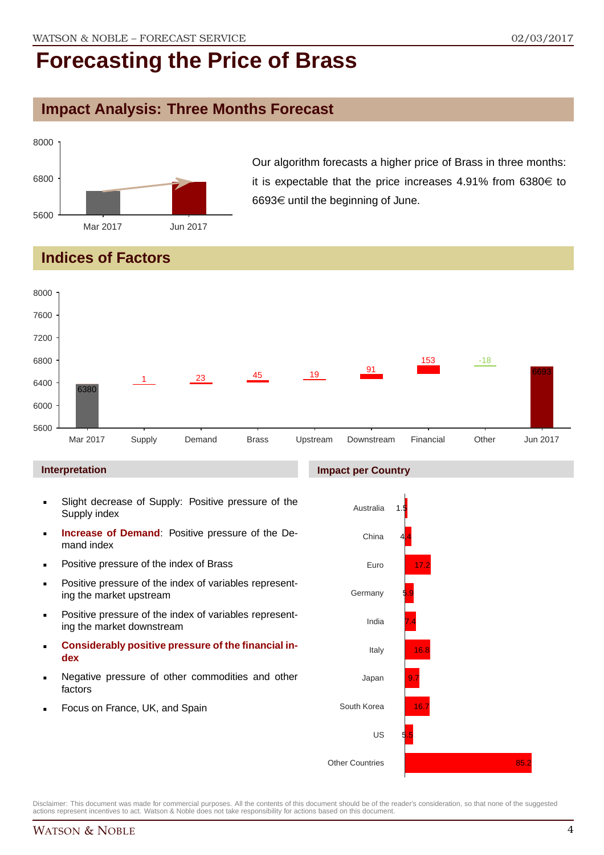### **Impact Analysis: Three Months Forecast**

![](_page_3_Figure_4.jpeg)

Our algorithm forecasts a higher price of Brass in three months: it is expectable that the price increases 4.91% from  $6380 \in$  to 6693€ until the beginning of June.

### **Indices of Factors**

![](_page_3_Figure_7.jpeg)

#### **Interpretation**

- Slight decrease of Supply: Positive pressure of the Supply index
- **Increase of Demand**: Positive pressure of the Demand index
- **Positive pressure of the index of Brass**
- **Positive pressure of the index of variables represent**ing the market upstream
- Positive pressure of the index of variables representing the market downstream
- **Considerably positive pressure of the financial index**
- Negative pressure of other commodities and other factors
- Focus on France, UK, and Spain

![](_page_3_Figure_17.jpeg)

![](_page_3_Figure_18.jpeg)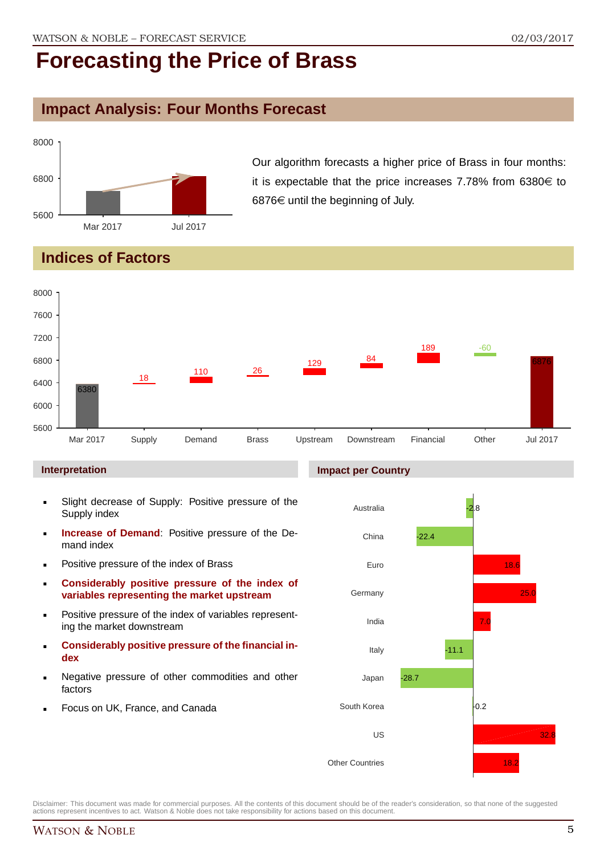### **Impact Analysis: Four Months Forecast**

![](_page_4_Figure_4.jpeg)

Our algorithm forecasts a higher price of Brass in four months: it is expectable that the price increases 7.78% from  $6380 \in$  to 6876 $\epsilon$  until the beginning of July.

### **Indices of Factors**

![](_page_4_Figure_7.jpeg)

#### **Interpretation**

- Slight decrease of Supply: Positive pressure of the Supply index
- **Increase of Demand**: Positive pressure of the Demand index
- **Positive pressure of the index of Brass**
- **Considerably positive pressure of the index of variables representing the market upstream**
- Positive pressure of the index of variables representing the market downstream
- **Considerably positive pressure of the financial index**
- Negative pressure of other commodities and other factors
- Focus on UK, France, and Canada

#### **Impact per Country**

![](_page_4_Figure_18.jpeg)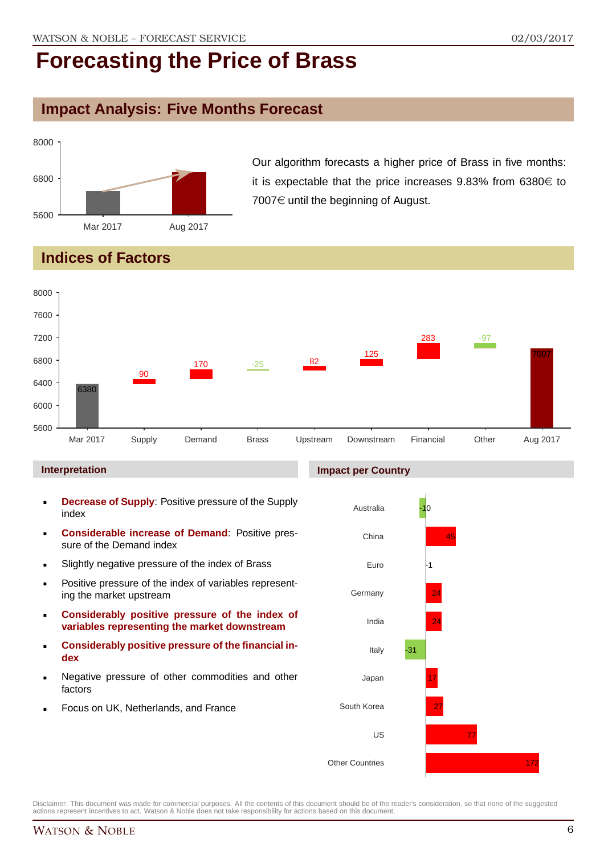### **Impact Analysis: Five Months Forecast**

![](_page_5_Figure_4.jpeg)

Our algorithm forecasts a higher price of Brass in five months: it is expectable that the price increases  $9.83\%$  from  $6380\epsilon$  to 7007 $\in$  until the beginning of August.

### **Indices of Factors**

![](_page_5_Figure_7.jpeg)

#### **Interpretation**

- **Decrease of Supply**: Positive pressure of the Supply index
- **Considerable increase of Demand**: Positive pressure of the Demand index
- **Slightly negative pressure of the index of Brass**
- **Positive pressure of the index of variables represent**ing the market upstream
- **Considerably positive pressure of the index of variables representing the market downstream**
- **Considerably positive pressure of the financial index**
- Negative pressure of other commodities and other factors
- Focus on UK, Netherlands, and France

#### **Impact per Country**

![](_page_5_Figure_18.jpeg)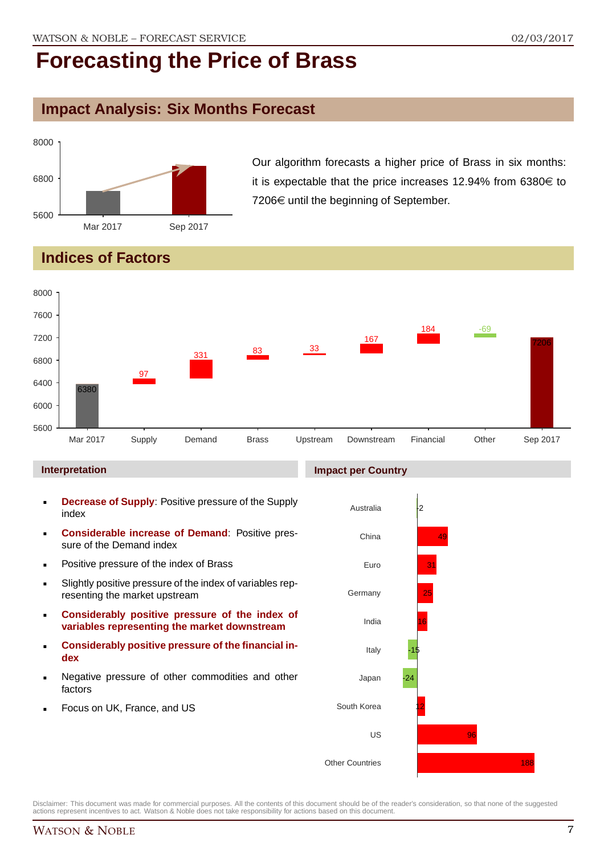### **Impact Analysis: Six Months Forecast**

![](_page_6_Figure_4.jpeg)

Our algorithm forecasts a higher price of Brass in six months: it is expectable that the price increases 12.94% from 6380 $\in$  to  $7206 \in \mathsf{until}$  the beginning of September.

### **Indices of Factors**

![](_page_6_Figure_7.jpeg)

#### **Interpretation**

- **Decrease of Supply**: Positive pressure of the Supply index
- **Considerable increase of Demand**: Positive pressure of the Demand index
- **Positive pressure of the index of Brass**
- Slightly positive pressure of the index of variables representing the market upstream
- **Considerably positive pressure of the index of variables representing the market downstream**
- **Considerably positive pressure of the financial index**
- Negative pressure of other commodities and other factors
- Focus on UK, France, and US

#### **Impact per Country**

![](_page_6_Figure_18.jpeg)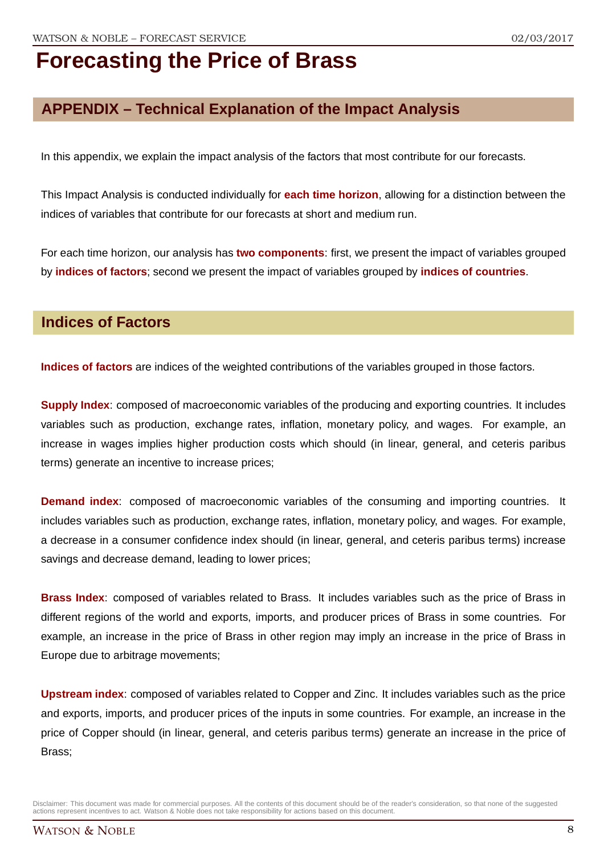### **APPENDIX – Technical Explanation of the Impact Analysis**

In this appendix, we explain the impact analysis of the factors that most contribute for our forecasts.

This Impact Analysis is conducted individually for **each time horizon**, allowing for a distinction between the indices of variables that contribute for our forecasts at short and medium run.

For each time horizon, our analysis has **two components**: first, we present the impact of variables grouped by **indices of factors**; second we present the impact of variables grouped by **indices of countries**.

### **Indices of Factors**

**Indices of factors** are indices of the weighted contributions of the variables grouped in those factors.

**Supply Index**: composed of macroeconomic variables of the producing and exporting countries. It includes variables such as production, exchange rates, inflation, monetary policy, and wages. For example, an increase in wages implies higher production costs which should (in linear, general, and ceteris paribus terms) generate an incentive to increase prices;

**Demand index**: composed of macroeconomic variables of the consuming and importing countries. It includes variables such as production, exchange rates, inflation, monetary policy, and wages. For example, a decrease in a consumer confidence index should (in linear, general, and ceteris paribus terms) increase savings and decrease demand, leading to lower prices;

**Brass Index**: composed of variables related to Brass. It includes variables such as the price of Brass in different regions of the world and exports, imports, and producer prices of Brass in some countries. For example, an increase in the price of Brass in other region may imply an increase in the price of Brass in Europe due to arbitrage movements;

**Upstream index**: composed of variables related to Copper and Zinc. It includes variables such as the price and exports, imports, and producer prices of the inputs in some countries. For example, an increase in the price of Copper should (in linear, general, and ceteris paribus terms) generate an increase in the price of Brass;